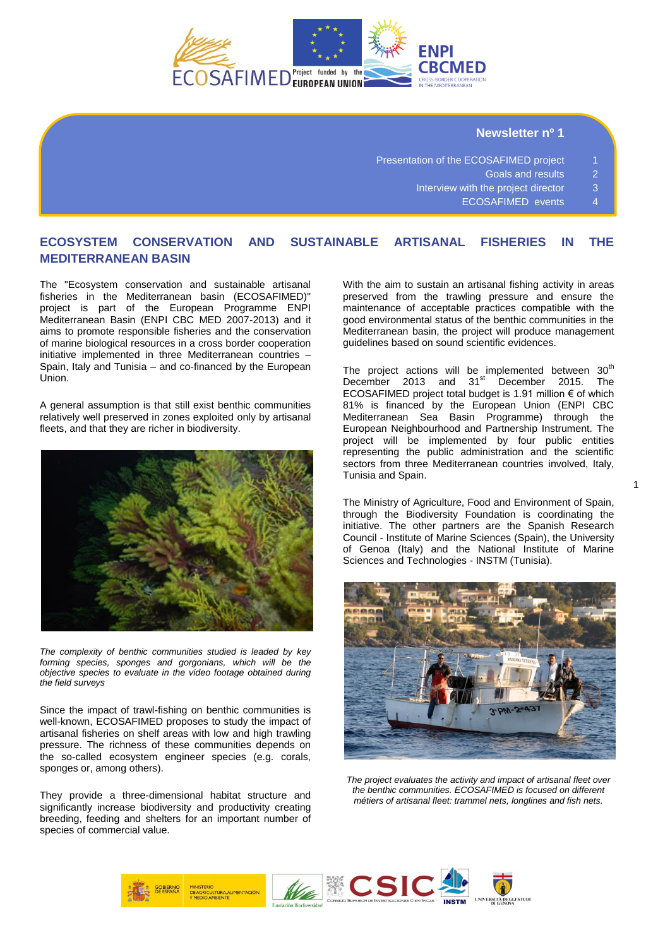

# **Newsletter nº 1**

- Presentation of the ECOSAFIMED project 1
	- Goals and results 2
	- Interview with the project director 3
		- ECOSAFIMED events 4

# **ECOSYSTEM CONSERVATION AND SUSTAINABLE ARTISANAL FISHERIES IN THE MEDITERRANEAN BASIN**

The "Ecosystem conservation and sustainable artisanal fisheries in the Mediterranean basin (ECOSAFIMED)" project is part of the European Programme ENPI Mediterranean Basin (ENPI CBC MED 2007-2013) and it aims to promote responsible fisheries and the conservation of marine biological resources in a cross border cooperation initiative implemented in three Mediterranean countries – Spain, Italy and Tunisia – and co-financed by the European Union.

A general assumption is that still exist benthic communities relatively well preserved in zones exploited only by artisanal fleets, and that they are richer in biodiversity.



*The complexity of benthic communities studied is leaded by key forming species, sponges and gorgonians, which will be the objective species to evaluate in the video footage obtained during the field surveys* 

Since the impact of trawl-fishing on benthic communities is well-known, ECOSAFIMED proposes to study the impact of artisanal fisheries on shelf areas with low and high trawling pressure. The richness of these communities depends on the so-called ecosystem engineer species (e.g. corals, sponges or, among others).

They provide a three-dimensional habitat structure and significantly increase biodiversity and productivity creating breeding, feeding and shelters for an important number of species of commercial value.

With the aim to sustain an artisanal fishing activity in areas preserved from the trawling pressure and ensure the maintenance of acceptable practices compatible with the good environmental status of the benthic communities in the Mediterranean basin, the project will produce management guidelines based on sound scientific evidences.

The project actions will be implemented between  $30<sup>th</sup>$ December 2013 and 31<sup>st</sup> December 2015. The ECOSAFIMED project total budget is 1.91 million € of which 81% is financed by the European Union (ENPI CBC Mediterranean Sea Basin Programme) through the European Neighbourhood and Partnership Instrument. The project will be implemented by four public entities representing the public administration and the scientific sectors from three Mediterranean countries involved, Italy, Tunisia and Spain.

The [Ministry of Agriculture, Food and Environment of Spain,](http://www.magrama.gob.es/es/)  through the [Biodiversity Foundation](http://www.fundacion-biodiversidad.es/) is coordinating the initiative. The other partners are the [Spanish Research](http://www.icm.csic.es/) Council - [Institute of Marine Sciences](http://www.icm.csic.es/) (Spain), the [University](http://www.dipteris.unige.it/drupalint/)  [of Genoa](http://www.dipteris.unige.it/drupalint/) (Italy) and the [National Institute of Marine](http://www.instm.agrinet.tn/an/accueil.php) [Sciences and Technologies -](http://www.instm.agrinet.tn/an/accueil.php) INSTM (Tunisia).



*The project evaluates the activity and impact of artisanal fleet over the benthic communities. ECOSAFIMED is focused on different métiers of artisanal fleet: trammel nets, longlines and fish nets.* 

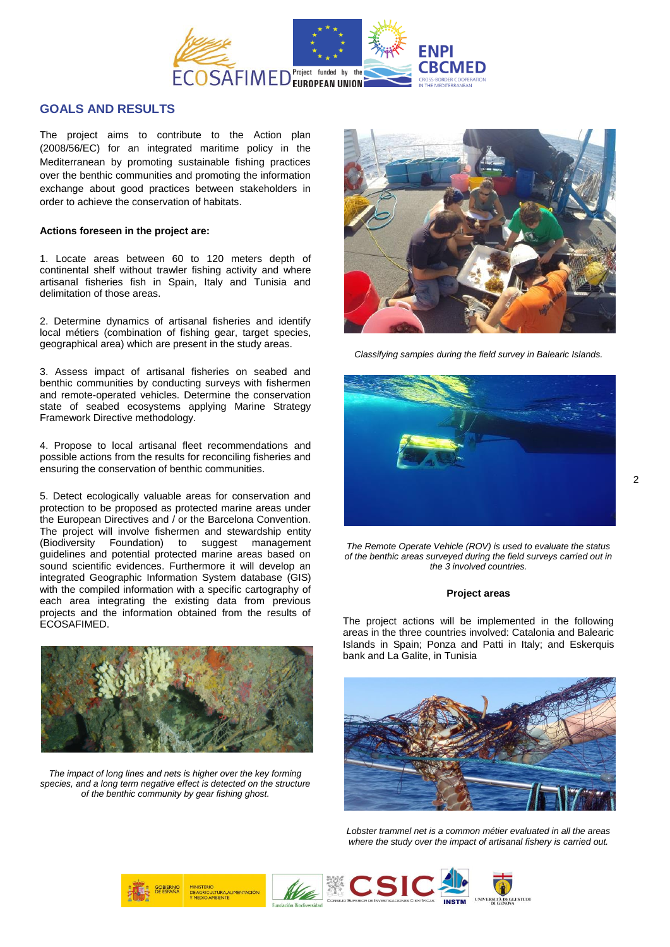

# **GOALS AND RESULTS**

The project aims to contribute to the Action plan (2008/56/EC) for an integrated maritime policy in the Mediterranean by promoting sustainable fishing practices over the benthic communities and promoting the information exchange about good practices between stakeholders in order to achieve the conservation of habitats.

#### **Actions foreseen in the project are:**

1. Locate areas between 60 to 120 meters depth of continental shelf without trawler fishing activity and where artisanal fisheries fish in Spain, Italy and Tunisia and delimitation of those areas.

2. Determine dynamics of artisanal fisheries and identify local métiers (combination of fishing gear, target species, geographical area) which are present in the study areas.

3. Assess impact of artisanal fisheries on seabed and benthic communities by conducting surveys with fishermen and remote-operated vehicles. Determine the conservation state of seabed ecosystems applying Marine Strategy Framework Directive methodology.

4. Propose to local artisanal fleet recommendations and possible actions from the results for reconciling fisheries and ensuring the conservation of benthic communities.

5. Detect ecologically valuable areas for conservation and protection to be proposed as protected marine areas under the European Directives and / or the Barcelona Convention. The project will involve fishermen and stewardship entity (Biodiversity Foundation) to suggest management guidelines and potential protected marine areas based on sound scientific evidences. Furthermore it will develop an integrated Geographic Information System database (GIS) with the compiled information with a specific cartography of each area integrating the existing data from previous projects and the information obtained from the results of ECOSAFIMED.



*The impact of long lines and nets is higher over the key forming*  species, and a long term negative effect is detected on the structure *of the benthic community by gear fishing ghost.*



*Classifying samples during the field survey in Balearic Islands.*



*The Remote Operate Vehicle (ROV) is used to evaluate the status of the benthic areas surveyed during the field surveys carried out in the 3 involved countries.* 

#### **Project areas**

The project actions will be implemented in the following areas in the three countries involved: Catalonia and Balearic Islands in Spain; Ponza and Patti in Italy; and Eskerquis bank and La Galite, in Tunisia



*Lobster trammel net is a common métier evaluated in all the areas where the study over the impact of artisanal fishery is carried out.*

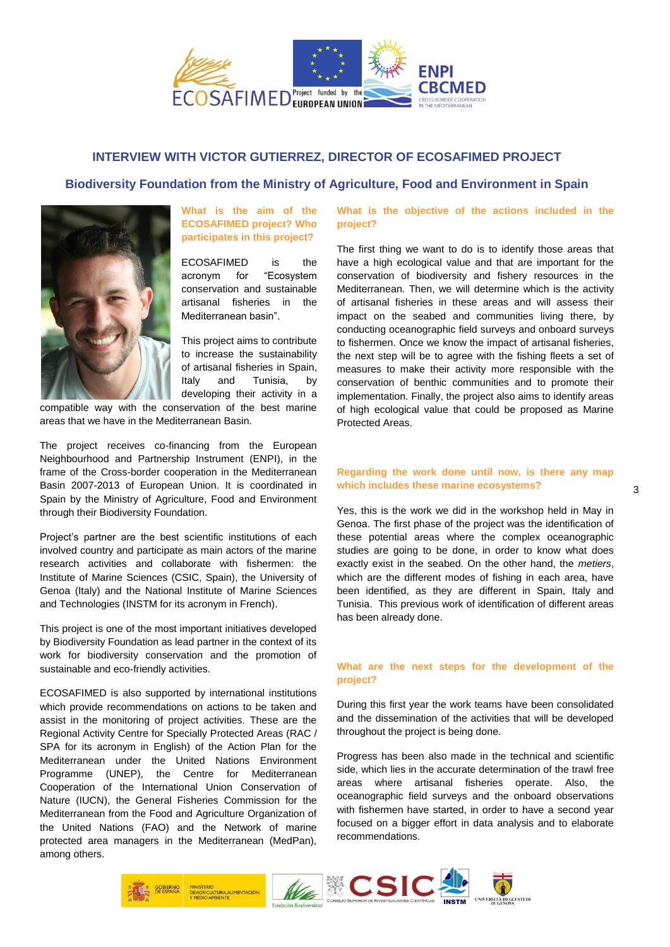

# **INTERVIEW WITH VICTOR GUTIERREZ, DIRECTOR OF ECOSAFIMED PROJECT**

## **Biodiversity Foundation from the Ministry of Agriculture, Food and Environment in Spain**



### **What is the aim of the ECOSAFIMED project? Who participates in this project?**

ECOSAFIMED is the acronym for "Ecosystem conservation and sustainable artisanal fisheries in the Mediterranean basin".

This project aims to contribute to increase the sustainability of artisanal fisheries in Spain, Italy and Tunisia, by developing their activity in a

compatible way with the conservation of the best marine areas that we have in the Mediterranean Basin.

The project receives co-financing from the European Neighbourhood and Partnership Instrument (ENPI), in the frame of the Cross-border cooperation in the Mediterranean Basin 2007-2013 of European Union. It is coordinated in Spain by the Ministry of Agriculture, Food and Environment through their Biodiversity Foundation.

Project's partner are the best scientific institutions of each involved country and participate as main actors of the marine research activities and collaborate with fishermen: the Institute of Marine Sciences (CSIC, Spain), the University of Genoa (Italy) and the National Institute of Marine Sciences and Technologies (INSTM for its acronym in French).

This project is one of the most important initiatives developed by Biodiversity Foundation as lead partner in the context of its work for biodiversity conservation and the promotion of sustainable and eco-friendly activities.

ECOSAFIMED is also supported by international institutions which provide recommendations on actions to be taken and assist in the monitoring of project activities. These are the Regional Activity Centre for Specially Protected Areas (RAC / SPA for its acronym in English) of the Action Plan for the Mediterranean under the United Nations Environment Programme (UNEP), the Centre for Mediterranean Cooperation of the International Union Conservation of Nature (IUCN), the General Fisheries Commission for the Mediterranean from the Food and Agriculture Organization of the United Nations (FAO) and the Network of marine protected area managers in the Mediterranean (MedPan), among others.

**What is the objective of the actions included in the project?**

The first thing we want to do is to identify those areas that have a high ecological value and that are important for the conservation of biodiversity and fishery resources in the Mediterranean. Then, we will determine which is the activity of artisanal fisheries in these areas and will assess their impact on the seabed and communities living there, by conducting oceanographic field surveys and onboard surveys to fishermen. Once we know the impact of artisanal fisheries, the next step will be to agree with the fishing fleets a set of measures to make their activity more responsible with the conservation of benthic communities and to promote their implementation. Finally, the project also aims to identify areas of high ecological value that could be proposed as Marine Protected Areas.

#### **Regarding the work done until now, is there any map which includes these marine ecosystems?**

Yes, this is the work we did in the workshop held in May in Genoa. The first phase of the project was the identification of these potential areas where the complex oceanographic studies are going to be done, in order to know what does exactly exist in the seabed. On the other hand, the *metiers*, which are the different modes of fishing in each area, have been identified, as they are different in Spain, Italy and Tunisia. This previous work of identification of different areas has been already done.

### **What are the next steps for the development of the project?**

During this first year the work teams have been consolidated and the dissemination of the activities that will be developed throughout the project is being done.

Progress has been also made in the technical and scientific side, which lies in the accurate determination of the trawl free areas where artisanal fisheries operate. Also, the oceanographic field surveys and the onboard observations with fishermen have started, in order to have a second year focused on a bigger effort in data analysis and to elaborate recommendations.

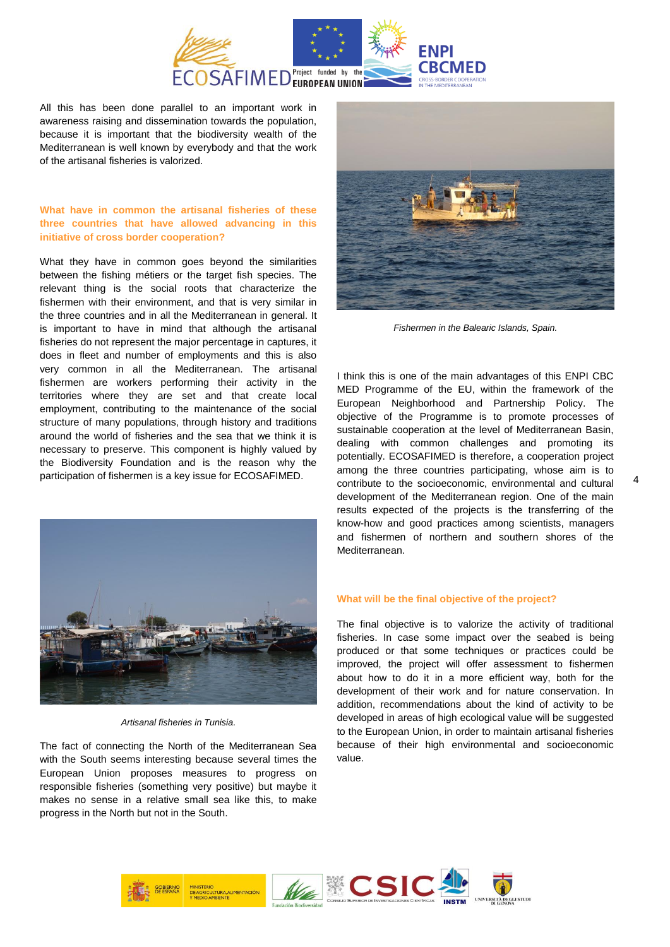

All this has been done parallel to an important work in awareness raising and dissemination towards the population, because it is important that the biodiversity wealth of the Mediterranean is well known by everybody and that the work of the artisanal fisheries is valorized.

### **What have in common the artisanal fisheries of these three countries that have allowed advancing in this initiative of cross border cooperation?**

What they have in common goes beyond the similarities between the fishing métiers or the target fish species. The relevant thing is the social roots that characterize the fishermen with their environment, and that is very similar in the three countries and in all the Mediterranean in general. It is important to have in mind that although the artisanal fisheries do not represent the major percentage in captures, it does in fleet and number of employments and this is also very common in all the Mediterranean. The artisanal fishermen are workers performing their activity in the territories where they are set and that create local employment, contributing to the maintenance of the social structure of many populations, through history and traditions around the world of fisheries and the sea that we think it is necessary to preserve. This component is highly valued by the Biodiversity Foundation and is the reason why the participation of fishermen is a key issue for ECOSAFIMED.



*Artisanal fisheries in Tunisia.*

The fact of connecting the North of the Mediterranean Sea with the South seems interesting because several times the European Union proposes measures to progress on responsible fisheries (something very positive) but maybe it makes no sense in a relative small sea like this, to make progress in the North but not in the South.



*Fishermen in the Balearic Islands, Spain.*

I think this is one of the main advantages of this ENPI CBC MED Programme of the EU, within the framework of the European Neighborhood and Partnership Policy. The objective of the Programme is to promote processes of sustainable cooperation at the level of Mediterranean Basin, dealing with common challenges and promoting its potentially. ECOSAFIMED is therefore, a cooperation project among the three countries participating, whose aim is to contribute to the socioeconomic, environmental and cultural development of the Mediterranean region. One of the main results expected of the projects is the transferring of the know-how and good practices among scientists, managers and fishermen of northern and southern shores of the Mediterranean.

#### **What will be the final objective of the project?**

The final objective is to valorize the activity of traditional fisheries. In case some impact over the seabed is being produced or that some techniques or practices could be improved, the project will offer assessment to fishermen about how to do it in a more efficient way, both for the development of their work and for nature conservation. In addition, recommendations about the kind of activity to be developed in areas of high ecological value will be suggested to the European Union, in order to maintain artisanal fisheries because of their high environmental and socioeconomic value.